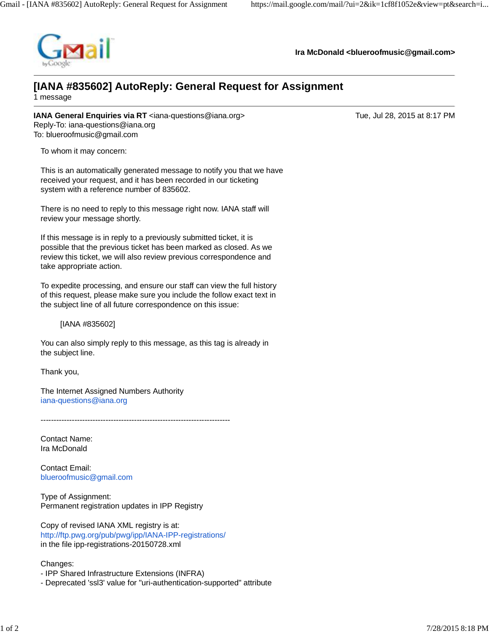

**Ira McDonald [<blueroofmusic@gmail.com](mailto:blueroofmusic@gmail.com)>**

## **[IANA #835602] AutoReply: General Request for Assignment**

1 message

**IANA General Enquiries via RT** [<iana-questions@iana.org>](mailto:iana-questions@iana.org) Tue, Jul 28, 2015 at 8:17 PM Reply-To: [iana-questions@iana.org](mailto:iana-questions@iana.org) To: [blueroofmusic@gmail.com](mailto:blueroofmusic@gmail.com)

To whom it may concern:

This is an automatically generated message to notify you that we have received your request, and it has been recorded in our ticketing system with a reference number of 835602.

There is no need to reply to this message right now. IANA staff will review your message shortly.

If this message is in reply to a previously submitted ticket, it is possible that the previous ticket has been marked as closed. As we review this ticket, we will also review previous correspondence and take appropriate action.

To expedite processing, and ensure our staff can view the full history of this request, please make sure you include the follow exact text in the subject line of all future correspondence on this issue:

[IANA #835602]

You can also simply reply to this message, as this tag is already in the subject line.

Thank you,

The Internet Assigned Numbers Authority [iana-questions@iana.org](mailto:iana-questions@iana.org)

-------------------------------------------------------------------------

Contact Name: Ira McDonald

Contact Email: [blueroofmusic@gmail.com](mailto:blueroofmusic@gmail.com)

Type of Assignment: Permanent registration updates in IPP Registry

Copy of revised IANA XML registry is at: <http://ftp.pwg.org/pub/pwg/ipp/IANA-IPP-registrations/> in the file ipp-registrations-20150728.xml

Changes:

- IPP Shared Infrastructure Extensions (INFRA)
- Deprecated 'ssl3' value for "uri-authentication-supported" attribute